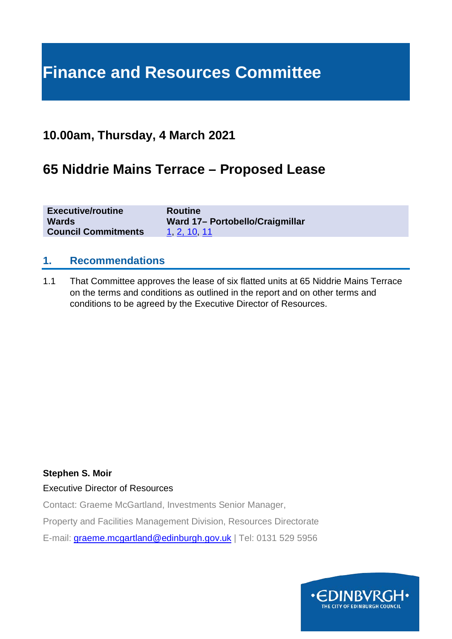# **Finance and Resources Committee**

### **10.00am, Thursday, 4 March 2021**

# **65 Niddrie Mains Terrace – Proposed Lease**

| <b>Executive/routine</b>   | <b>Routine</b>                  |
|----------------------------|---------------------------------|
| <b>Wards</b>               | Ward 17- Portobello/Craigmillar |
| <b>Council Commitments</b> | 1, 2, 10, 11                    |

#### **1. Recommendations**

1.1 That Committee approves the lease of six flatted units at 65 Niddrie Mains Terrace on the terms and conditions as outlined in the report and on other terms and conditions to be agreed by the Executive Director of Resources.

#### **Stephen S. Moir**

#### Executive Director of Resources

Contact: Graeme McGartland, Investments Senior Manager,

Property and Facilities Management Division, Resources Directorate

E-mail: [graeme.mcgartland@edinburgh.gov.uk](mailto:graeme.mcgartland@edinburgh.gov.uk) | Tel: 0131 529 5956

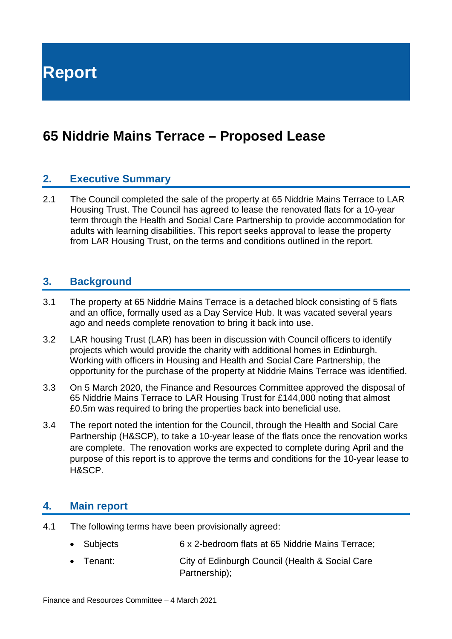**Report**

# **65 Niddrie Mains Terrace – Proposed Lease**

#### **2. Executive Summary**

2.1 The Council completed the sale of the property at 65 Niddrie Mains Terrace to LAR Housing Trust. The Council has agreed to lease the renovated flats for a 10-year term through the Health and Social Care Partnership to provide accommodation for adults with learning disabilities. This report seeks approval to lease the property from LAR Housing Trust, on the terms and conditions outlined in the report.

#### **3. Background**

- 3.1 The property at 65 Niddrie Mains Terrace is a detached block consisting of 5 flats and an office, formally used as a Day Service Hub. It was vacated several years ago and needs complete renovation to bring it back into use.
- 3.2 LAR housing Trust (LAR) has been in discussion with Council officers to identify projects which would provide the charity with additional homes in Edinburgh. Working with officers in Housing and Health and Social Care Partnership, the opportunity for the purchase of the property at Niddrie Mains Terrace was identified.
- 3.3 On 5 March 2020, the Finance and Resources Committee approved the disposal of 65 Niddrie Mains Terrace to LAR Housing Trust for £144,000 noting that almost £0.5m was required to bring the properties back into beneficial use.
- 3.4 The report noted the intention for the Council, through the Health and Social Care Partnership (H&SCP), to take a 10-year lease of the flats once the renovation works are complete. The renovation works are expected to complete during April and the purpose of this report is to approve the terms and conditions for the 10-year lease to H&SCP.

#### **4. Main report**

- 4.1 The following terms have been provisionally agreed:
	- Subjects 6 x 2-bedroom flats at 65 Niddrie Mains Terrace;
	- Tenant: City of Edinburgh Council (Health & Social Care Partnership);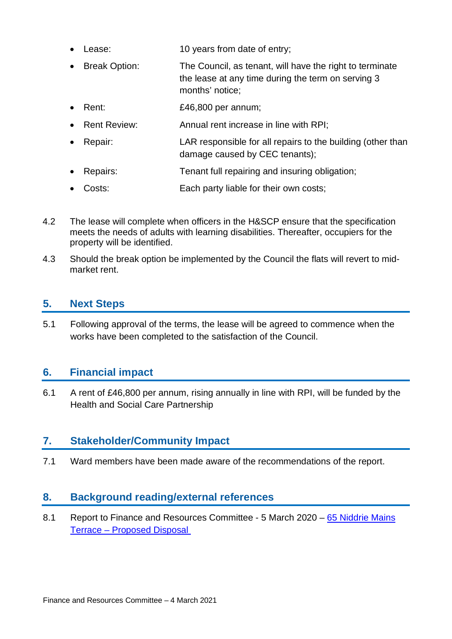- Lease: 10 years from date of entry;
- Break Option: The Council, as tenant, will have the right to terminate the lease at any time during the term on serving 3 months' notice;
- Rent: £46,800 per annum;
- Rent Review: Annual rent increase in line with RPI;
- Repair: LAR responsible for all repairs to the building (other than damage caused by CEC tenants);
- Repairs: Tenant full repairing and insuring obligation;
- Costs: Each party liable for their own costs;
- 4.2 The lease will complete when officers in the H&SCP ensure that the specification meets the needs of adults with learning disabilities. Thereafter, occupiers for the property will be identified.
- 4.3 Should the break option be implemented by the Council the flats will revert to midmarket rent.

### **5. Next Steps**

5.1 Following approval of the terms, the lease will be agreed to commence when the works have been completed to the satisfaction of the Council.

#### **6. Financial impact**

6.1 A rent of £46,800 per annum, rising annually in line with RPI, will be funded by the Health and Social Care Partnership

### **7. Stakeholder/Community Impact**

7.1 Ward members have been made aware of the recommendations of the report.

#### **8. Background reading/external references**

8.1 Report to Finance and Resources Committee - 5 March 2020 – 65 Niddrie Mains Terrace – [Proposed Disposal](https://democracy.edinburgh.gov.uk/documents/s14826/8.4%20-%2065%20Niddrie%20Mains%20Terrace%20Proposed%20Disposal.pdf)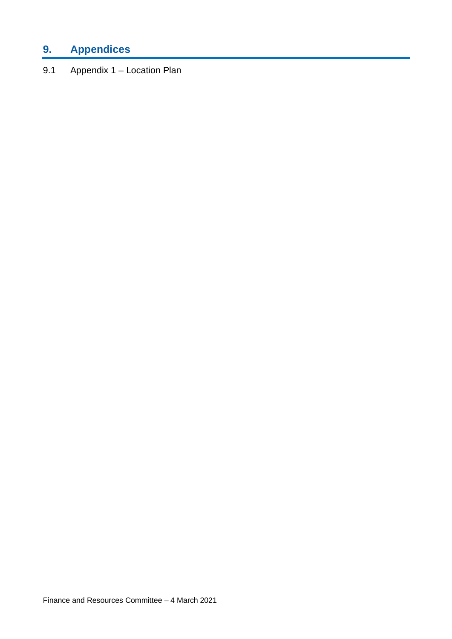# **9. Appendices**

9.1 Appendix 1 – Location Plan